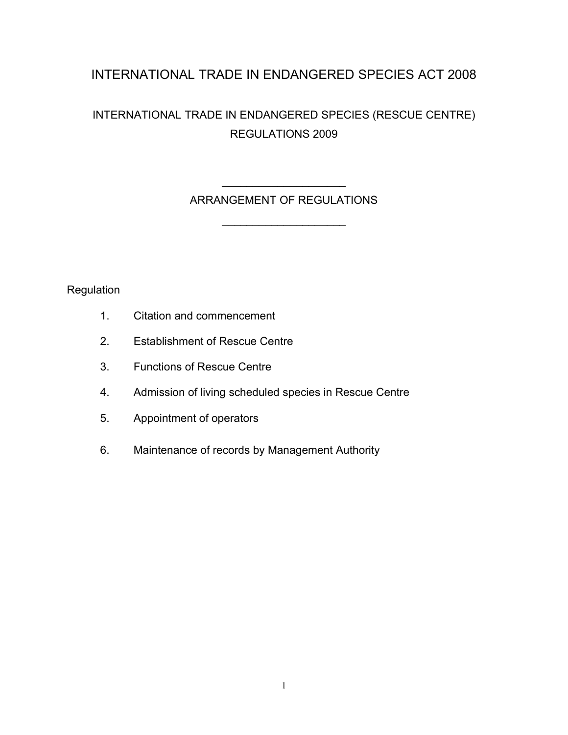# INTERNATIONAL TRADE IN ENDANGERED SPECIES ACT 2008

# INTERNATIONAL TRADE IN ENDANGERED SPECIES (RESCUE CENTRE) REGULATIONS 2009

# $\mathcal{L}=\mathcal{L}^{\mathcal{L}}$ ARRANGEMENT OF REGULATIONS

\_\_\_\_\_\_\_\_\_\_\_\_\_\_\_\_\_\_\_\_

**Regulation** 

- 1. Citation and commencement
- 2. Establishment of Rescue Centre
- 3. Functions of Rescue Centre
- 4. Admission of living scheduled species in Rescue Centre
- 5. Appointment of operators
- 6. Maintenance of records by Management Authority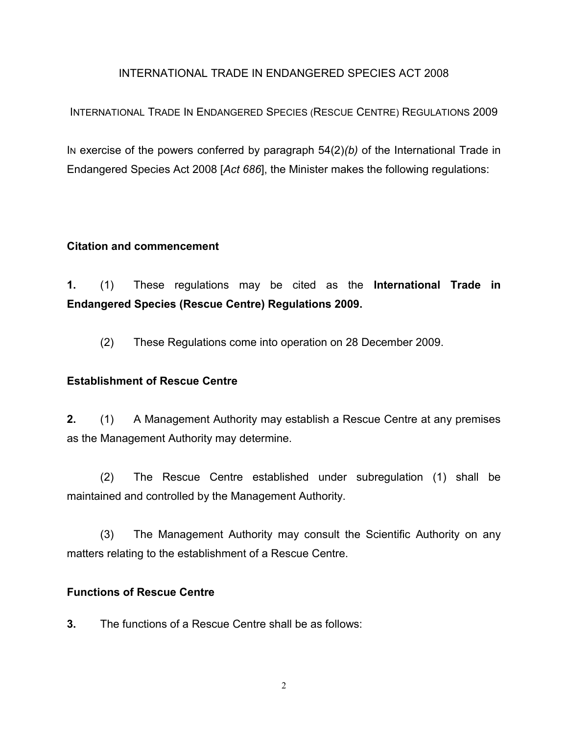#### INTERNATIONAL TRADE IN ENDANGERED SPECIES ACT 2008

## INTERNATIONAL TRADE IN ENDANGERED SPECIES (RESCUE CENTRE) REGULATIONS 2009

IN exercise of the powers conferred by paragraph 54(2)*(b)* of the International Trade in Endangered Species Act 2008 [*Act 686*], the Minister makes the following regulations:

#### **Citation and commencement**

**1.** (1) These regulations may be cited as the **International Trade in Endangered Species (Rescue Centre) Regulations 2009.**

(2) These Regulations come into operation on 28 December 2009.

## **Establishment of Rescue Centre**

**2.** (1) A Management Authority may establish a Rescue Centre at any premises as the Management Authority may determine.

(2) The Rescue Centre established under subregulation (1) shall be maintained and controlled by the Management Authority.

(3) The Management Authority may consult the Scientific Authority on any matters relating to the establishment of a Rescue Centre.

#### **Functions of Rescue Centre**

**3.** The functions of a Rescue Centre shall be as follows: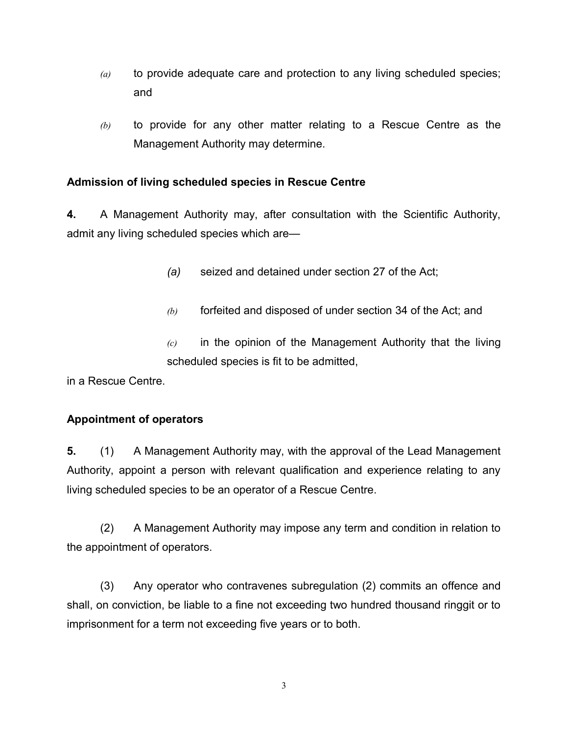- *(a)* to provide adequate care and protection to any living scheduled species; and
- *(b)* to provide for any other matter relating to a Rescue Centre as the Management Authority may determine.

## **Admission of living scheduled species in Rescue Centre**

**4.** A Management Authority may, after consultation with the Scientific Authority, admit any living scheduled species which are—

- *(a)* seized and detained under section 27 of the Act;
- *(b)* forfeited and disposed of under section 34 of the Act; and

*(c)* in the opinion of the Management Authority that the living scheduled species is fit to be admitted,

in a Rescue Centre.

## **Appointment of operators**

**5.** (1) A Management Authority may, with the approval of the Lead Management Authority, appoint a person with relevant qualification and experience relating to any living scheduled species to be an operator of a Rescue Centre.

(2) A Management Authority may impose any term and condition in relation to the appointment of operators.

(3) Any operator who contravenes subregulation (2) commits an offence and shall, on conviction, be liable to a fine not exceeding two hundred thousand ringgit or to imprisonment for a term not exceeding five years or to both.

3